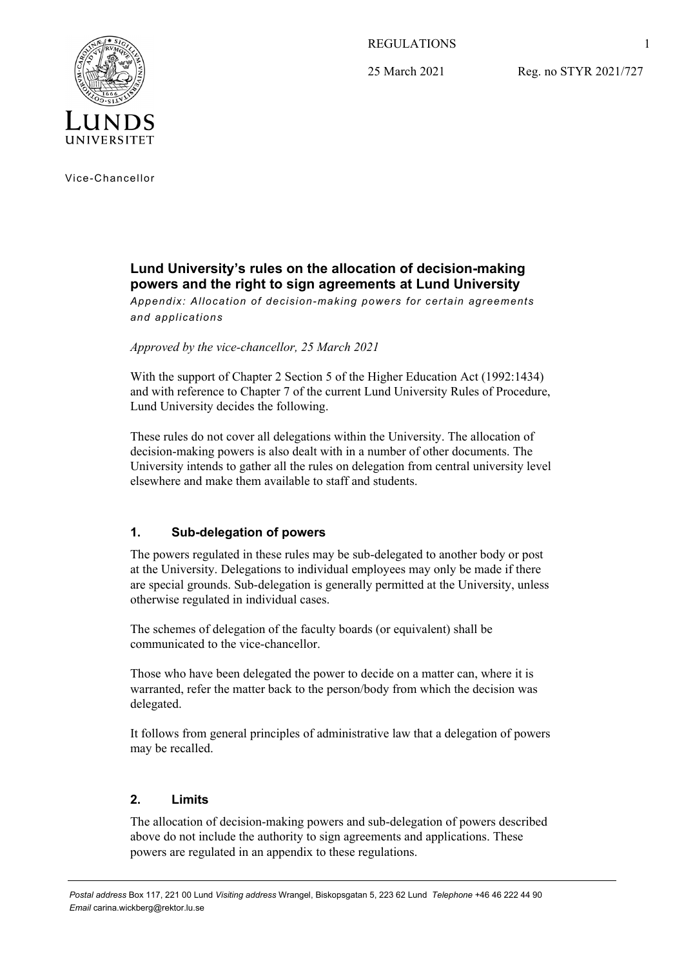REGULATIONS

25 March 2021

Reg. no STYR 2021/727



Vice-Chancellor

# **Lund University's rules on the allocation of decision-making powers and the right to sign agreements at Lund University**

*Appendix: Allocation of decision-making powers for certain agreements and applications* 

*Approved by the vice-chancellor, 25 March 2021* 

With the support of Chapter 2 Section 5 of the Higher Education Act (1992:1434) and with reference to Chapter 7 of the current Lund University Rules of Procedure, Lund University decides the following.

These rules do not cover all delegations within the University. The allocation of decision-making powers is also dealt with in a number of other documents. The University intends to gather all the rules on delegation from central university level elsewhere and make them available to staff and students.

# **1. Sub-delegation of powers**

The powers regulated in these rules may be sub-delegated to another body or post at the University. Delegations to individual employees may only be made if there are special grounds. Sub-delegation is generally permitted at the University, unless otherwise regulated in individual cases.

The schemes of delegation of the faculty boards (or equivalent) shall be communicated to the vice-chancellor.

Those who have been delegated the power to decide on a matter can, where it is warranted, refer the matter back to the person/body from which the decision was delegated.

It follows from general principles of administrative law that a delegation of powers may be recalled.

## **2. Limits**

The allocation of decision-making powers and sub-delegation of powers described above do not include the authority to sign agreements and applications. These powers are regulated in an appendix to these regulations.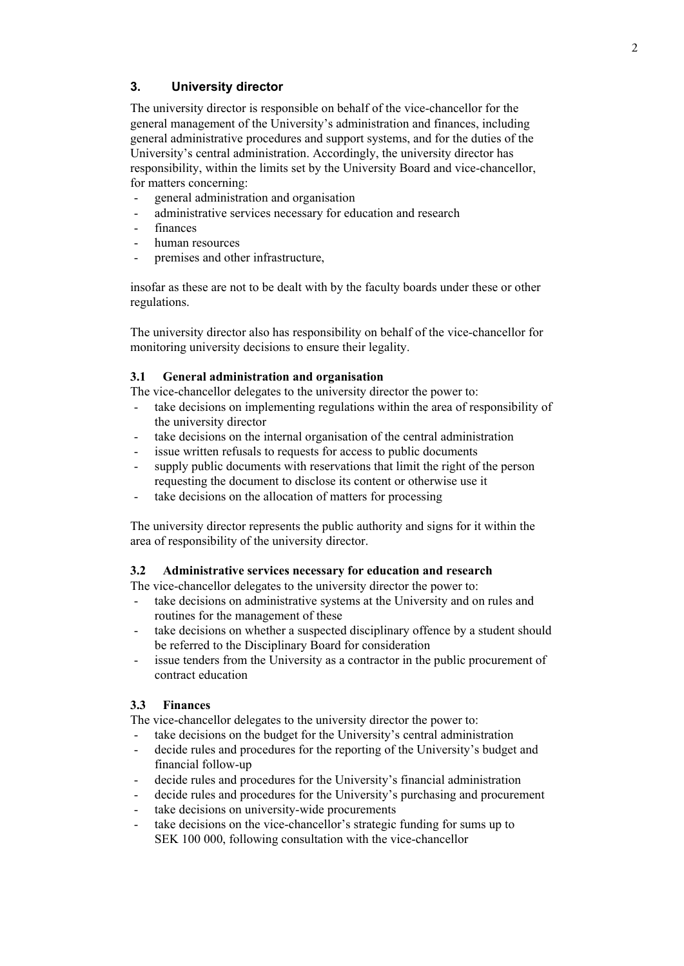## **3. University director**

The university director is responsible on behalf of the vice-chancellor for the general management of the University's administration and finances, including general administrative procedures and support systems, and for the duties of the University's central administration. Accordingly, the university director has responsibility, within the limits set by the University Board and vice-chancellor, for matters concerning:

- general administration and organisation
- administrative services necessary for education and research
- finances
- human resources
- premises and other infrastructure,

insofar as these are not to be dealt with by the faculty boards under these or other regulations.

The university director also has responsibility on behalf of the vice-chancellor for monitoring university decisions to ensure their legality.

#### **3.1 General administration and organisation**

The vice-chancellor delegates to the university director the power to:

- take decisions on implementing regulations within the area of responsibility of the university director
- take decisions on the internal organisation of the central administration
- issue written refusals to requests for access to public documents
- supply public documents with reservations that limit the right of the person requesting the document to disclose its content or otherwise use it
- take decisions on the allocation of matters for processing

The university director represents the public authority and signs for it within the area of responsibility of the university director.

## **3.2 Administrative services necessary for education and research**

The vice-chancellor delegates to the university director the power to:

- take decisions on administrative systems at the University and on rules and routines for the management of these
- take decisions on whether a suspected disciplinary offence by a student should be referred to the Disciplinary Board for consideration
- issue tenders from the University as a contractor in the public procurement of contract education

## **3.3 Finances**

The vice-chancellor delegates to the university director the power to:

- take decisions on the budget for the University's central administration
- decide rules and procedures for the reporting of the University's budget and financial follow-up
- decide rules and procedures for the University's financial administration
- decide rules and procedures for the University's purchasing and procurement
- take decisions on university-wide procurements
- take decisions on the vice-chancellor's strategic funding for sums up to SEK 100 000, following consultation with the vice-chancellor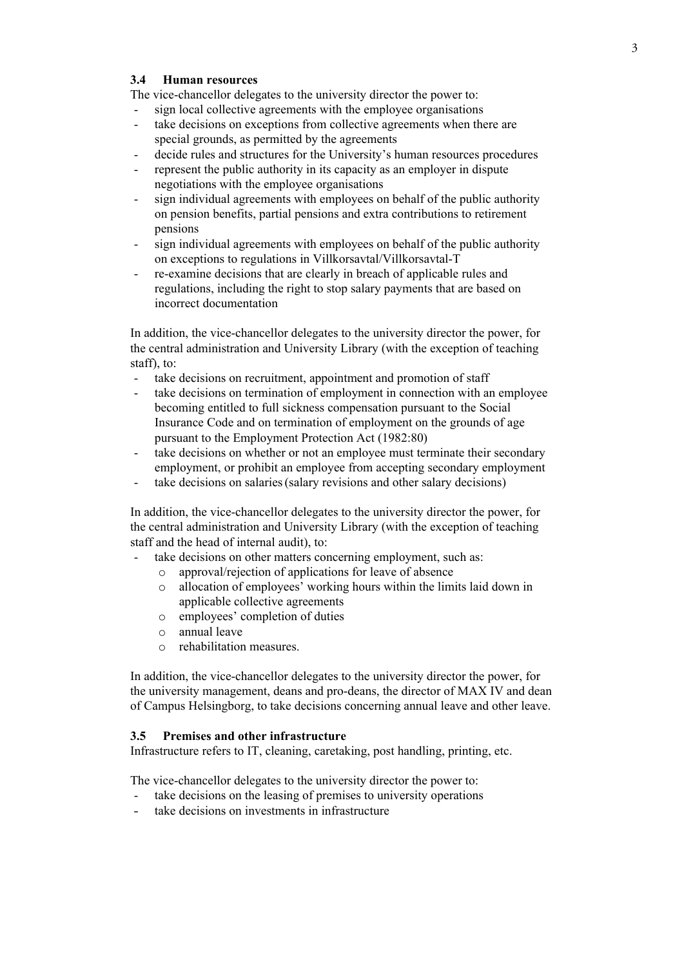## **3.4 Human resources**

The vice-chancellor delegates to the university director the power to:

- sign local collective agreements with the employee organisations
- take decisions on exceptions from collective agreements when there are special grounds, as permitted by the agreements
- decide rules and structures for the University's human resources procedures
- represent the public authority in its capacity as an employer in dispute negotiations with the employee organisations
- sign individual agreements with employees on behalf of the public authority on pension benefits, partial pensions and extra contributions to retirement pensions
- sign individual agreements with employees on behalf of the public authority on exceptions to regulations in Villkorsavtal/Villkorsavtal-T
- re-examine decisions that are clearly in breach of applicable rules and regulations, including the right to stop salary payments that are based on incorrect documentation

In addition, the vice-chancellor delegates to the university director the power, for the central administration and University Library (with the exception of teaching staff), to:

- take decisions on recruitment, appointment and promotion of staff
- take decisions on termination of employment in connection with an employee becoming entitled to full sickness compensation pursuant to the Social Insurance Code and on termination of employment on the grounds of age pursuant to the Employment Protection Act (1982:80)
- take decisions on whether or not an employee must terminate their secondary employment, or prohibit an employee from accepting secondary employment
- take decisions on salaries (salary revisions and other salary decisions)

In addition, the vice-chancellor delegates to the university director the power, for the central administration and University Library (with the exception of teaching staff and the head of internal audit), to:

- take decisions on other matters concerning employment, such as:
	- o approval/rejection of applications for leave of absence
	- o allocation of employees' working hours within the limits laid down in applicable collective agreements
	- o employees' completion of duties
	- o annual leave
	- o rehabilitation measures.

In addition, the vice-chancellor delegates to the university director the power, for the university management, deans and pro-deans, the director of MAX IV and dean of Campus Helsingborg, to take decisions concerning annual leave and other leave.

## **3.5 Premises and other infrastructure**

Infrastructure refers to IT, cleaning, caretaking, post handling, printing, etc.

The vice-chancellor delegates to the university director the power to:

- take decisions on the leasing of premises to university operations
- take decisions on investments in infrastructure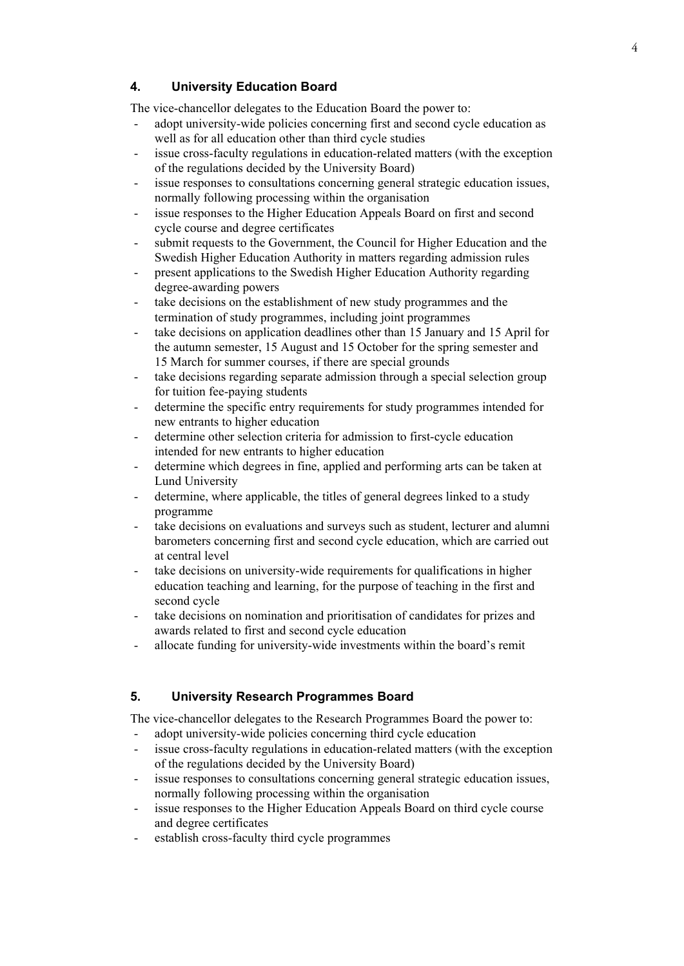## **4. University Education Board**

The vice-chancellor delegates to the Education Board the power to:

- adopt university-wide policies concerning first and second cycle education as well as for all education other than third cycle studies
- issue cross-faculty regulations in education-related matters (with the exception of the regulations decided by the University Board)
- issue responses to consultations concerning general strategic education issues, normally following processing within the organisation
- issue responses to the Higher Education Appeals Board on first and second cycle course and degree certificates
- submit requests to the Government, the Council for Higher Education and the Swedish Higher Education Authority in matters regarding admission rules
- present applications to the Swedish Higher Education Authority regarding degree-awarding powers
- take decisions on the establishment of new study programmes and the termination of study programmes, including joint programmes
- take decisions on application deadlines other than 15 January and 15 April for the autumn semester, 15 August and 15 October for the spring semester and 15 March for summer courses, if there are special grounds
- take decisions regarding separate admission through a special selection group for tuition fee-paying students
- determine the specific entry requirements for study programmes intended for new entrants to higher education
- determine other selection criteria for admission to first-cycle education intended for new entrants to higher education
- determine which degrees in fine, applied and performing arts can be taken at Lund University
- determine, where applicable, the titles of general degrees linked to a study programme
- take decisions on evaluations and surveys such as student, lecturer and alumni barometers concerning first and second cycle education, which are carried out at central level
- take decisions on university-wide requirements for qualifications in higher education teaching and learning, for the purpose of teaching in the first and second cycle
- take decisions on nomination and prioritisation of candidates for prizes and awards related to first and second cycle education
- allocate funding for university-wide investments within the board's remit

## **5. University Research Programmes Board**

The vice-chancellor delegates to the Research Programmes Board the power to:

- adopt university-wide policies concerning third cycle education
- issue cross-faculty regulations in education-related matters (with the exception of the regulations decided by the University Board)
- issue responses to consultations concerning general strategic education issues, normally following processing within the organisation
- issue responses to the Higher Education Appeals Board on third cycle course and degree certificates
- establish cross-faculty third cycle programmes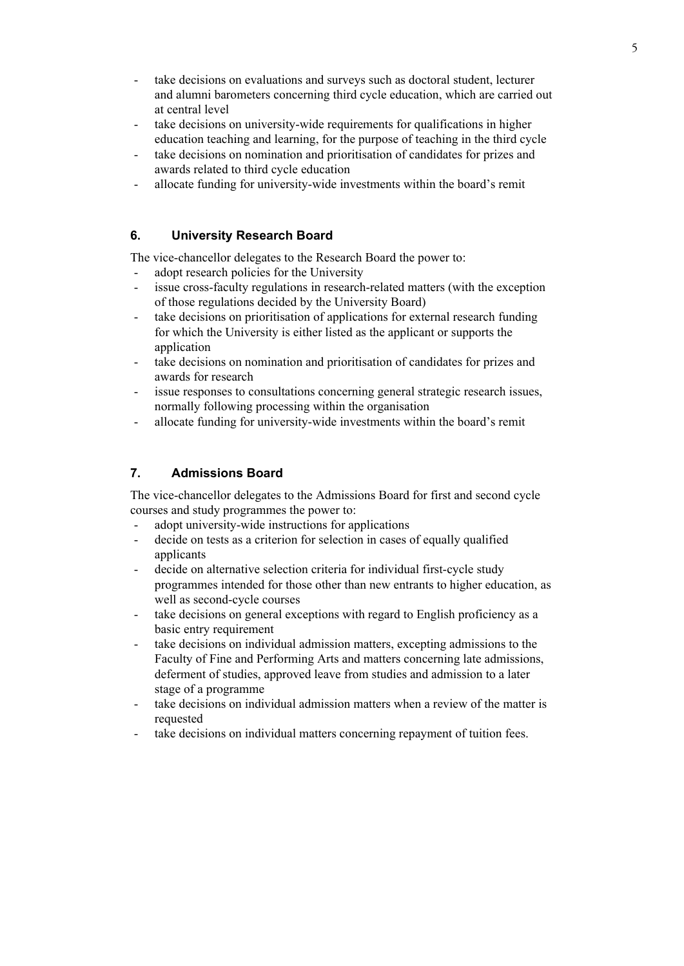- take decisions on evaluations and surveys such as doctoral student, lecturer and alumni barometers concerning third cycle education, which are carried out at central level
- take decisions on university-wide requirements for qualifications in higher education teaching and learning, for the purpose of teaching in the third cycle
- take decisions on nomination and prioritisation of candidates for prizes and awards related to third cycle education
- allocate funding for university-wide investments within the board's remit

## **6. University Research Board**

The vice-chancellor delegates to the Research Board the power to:

- adopt research policies for the University
- issue cross-faculty regulations in research-related matters (with the exception of those regulations decided by the University Board)
- take decisions on prioritisation of applications for external research funding for which the University is either listed as the applicant or supports the application
- take decisions on nomination and prioritisation of candidates for prizes and awards for research
- issue responses to consultations concerning general strategic research issues, normally following processing within the organisation
- allocate funding for university-wide investments within the board's remit

## **7. Admissions Board**

The vice-chancellor delegates to the Admissions Board for first and second cycle courses and study programmes the power to:

- adopt university-wide instructions for applications
- decide on tests as a criterion for selection in cases of equally qualified applicants
- decide on alternative selection criteria for individual first-cycle study programmes intended for those other than new entrants to higher education, as well as second-cycle courses
- take decisions on general exceptions with regard to English proficiency as a basic entry requirement
- take decisions on individual admission matters, excepting admissions to the Faculty of Fine and Performing Arts and matters concerning late admissions, deferment of studies, approved leave from studies and admission to a later stage of a programme
- take decisions on individual admission matters when a review of the matter is requested
- take decisions on individual matters concerning repayment of tuition fees.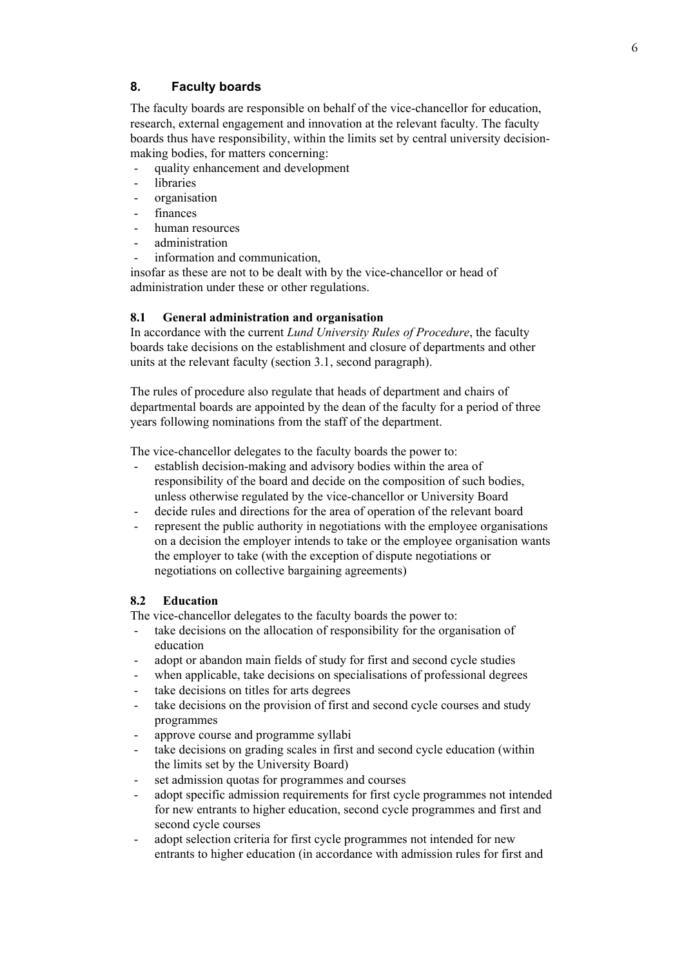## **8. Faculty boards**

The faculty boards are responsible on behalf of the vice-chancellor for education, research, external engagement and innovation at the relevant faculty. The faculty boards thus have responsibility, within the limits set by central university decisionmaking bodies, for matters concerning:

- quality enhancement and development
- libraries
- organisation
- finances
- human resources
- administration
- information and communication.

insofar as these are not to be dealt with by the vice-chancellor or head of administration under these or other regulations.

#### **8.1 General administration and organisation**

In accordance with the current *Lund University Rules of Procedure*, the faculty boards take decisions on the establishment and closure of departments and other units at the relevant faculty (section 3.1, second paragraph).

The rules of procedure also regulate that heads of department and chairs of departmental boards are appointed by the dean of the faculty for a period of three years following nominations from the staff of the department.

The vice-chancellor delegates to the faculty boards the power to:

- establish decision-making and advisory bodies within the area of responsibility of the board and decide on the composition of such bodies, unless otherwise regulated by the vice-chancellor or University Board
- decide rules and directions for the area of operation of the relevant board
- represent the public authority in negotiations with the employee organisations on a decision the employer intends to take or the employee organisation wants the employer to take (with the exception of dispute negotiations or negotiations on collective bargaining agreements)

### **8.2 Education**

The vice-chancellor delegates to the faculty boards the power to:

- take decisions on the allocation of responsibility for the organisation of education
- adopt or abandon main fields of study for first and second cycle studies
- when applicable, take decisions on specialisations of professional degrees
- take decisions on titles for arts degrees
- take decisions on the provision of first and second cycle courses and study programmes
- approve course and programme syllabi
- take decisions on grading scales in first and second cycle education (within the limits set by the University Board)
- set admission quotas for programmes and courses
- adopt specific admission requirements for first cycle programmes not intended for new entrants to higher education, second cycle programmes and first and second cycle courses
- adopt selection criteria for first cycle programmes not intended for new entrants to higher education (in accordance with admission rules for first and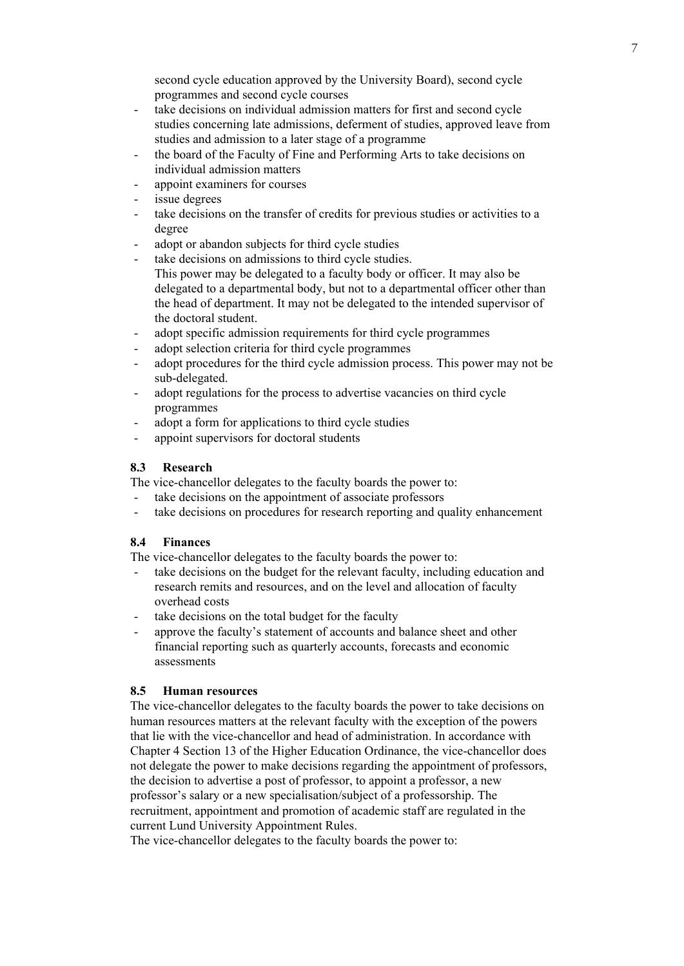second cycle education approved by the University Board), second cycle programmes and second cycle courses

- take decisions on individual admission matters for first and second cycle studies concerning late admissions, deferment of studies, approved leave from studies and admission to a later stage of a programme
- the board of the Faculty of Fine and Performing Arts to take decisions on individual admission matters
- appoint examiners for courses
- issue degrees
- take decisions on the transfer of credits for previous studies or activities to a degree
- adopt or abandon subjects for third cycle studies
- take decisions on admissions to third cycle studies. This power may be delegated to a faculty body or officer. It may also be delegated to a departmental body, but not to a departmental officer other than
	- the head of department. It may not be delegated to the intended supervisor of the doctoral student.
- adopt specific admission requirements for third cycle programmes
- adopt selection criteria for third cycle programmes
- adopt procedures for the third cycle admission process. This power may not be sub-delegated.
- adopt regulations for the process to advertise vacancies on third cycle programmes
- adopt a form for applications to third cycle studies
- appoint supervisors for doctoral students

#### **8.3 Research**

The vice-chancellor delegates to the faculty boards the power to:

- take decisions on the appointment of associate professors
- take decisions on procedures for research reporting and quality enhancement

## **8.4 Finances**

The vice-chancellor delegates to the faculty boards the power to:

- take decisions on the budget for the relevant faculty, including education and research remits and resources, and on the level and allocation of faculty overhead costs
- take decisions on the total budget for the faculty
- approve the faculty's statement of accounts and balance sheet and other financial reporting such as quarterly accounts, forecasts and economic assessments

#### **8.5 Human resources**

The vice-chancellor delegates to the faculty boards the power to take decisions on human resources matters at the relevant faculty with the exception of the powers that lie with the vice-chancellor and head of administration. In accordance with Chapter 4 Section 13 of the Higher Education Ordinance, the vice-chancellor does not delegate the power to make decisions regarding the appointment of professors, the decision to advertise a post of professor, to appoint a professor, a new professor's salary or a new specialisation/subject of a professorship. The recruitment, appointment and promotion of academic staff are regulated in the current Lund University Appointment Rules.

The vice-chancellor delegates to the faculty boards the power to: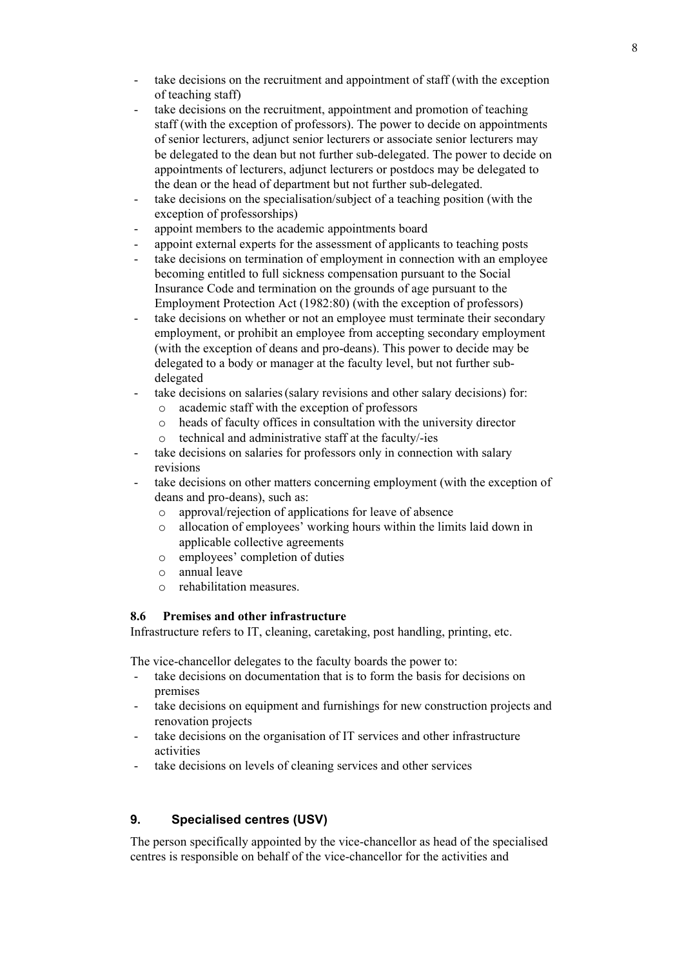- take decisions on the recruitment and appointment of staff (with the exception of teaching staff)
- take decisions on the recruitment, appointment and promotion of teaching staff (with the exception of professors). The power to decide on appointments of senior lecturers, adjunct senior lecturers or associate senior lecturers may be delegated to the dean but not further sub-delegated. The power to decide on appointments of lecturers, adjunct lecturers or postdocs may be delegated to the dean or the head of department but not further sub-delegated.
- take decisions on the specialisation/subject of a teaching position (with the exception of professorships)
- appoint members to the academic appointments board
- appoint external experts for the assessment of applicants to teaching posts
- take decisions on termination of employment in connection with an employee becoming entitled to full sickness compensation pursuant to the Social Insurance Code and termination on the grounds of age pursuant to the Employment Protection Act (1982:80) (with the exception of professors)
- take decisions on whether or not an employee must terminate their secondary employment, or prohibit an employee from accepting secondary employment (with the exception of deans and pro-deans). This power to decide may be delegated to a body or manager at the faculty level, but not further subdelegated
- take decisions on salaries (salary revisions and other salary decisions) for:
	- o academic staff with the exception of professors
	- o heads of faculty offices in consultation with the university director
	- o technical and administrative staff at the faculty/-ies
- take decisions on salaries for professors only in connection with salary revisions
- take decisions on other matters concerning employment (with the exception of deans and pro-deans), such as:
	- o approval/rejection of applications for leave of absence
	- o allocation of employees' working hours within the limits laid down in applicable collective agreements
	- o employees' completion of duties
	- o annual leave
	- o rehabilitation measures.

#### **8.6 Premises and other infrastructure**

Infrastructure refers to IT, cleaning, caretaking, post handling, printing, etc.

The vice-chancellor delegates to the faculty boards the power to:

- take decisions on documentation that is to form the basis for decisions on premises
- take decisions on equipment and furnishings for new construction projects and renovation projects
- take decisions on the organisation of IT services and other infrastructure activities
- take decisions on levels of cleaning services and other services

## **9. Specialised centres (USV)**

The person specifically appointed by the vice-chancellor as head of the specialised centres is responsible on behalf of the vice-chancellor for the activities and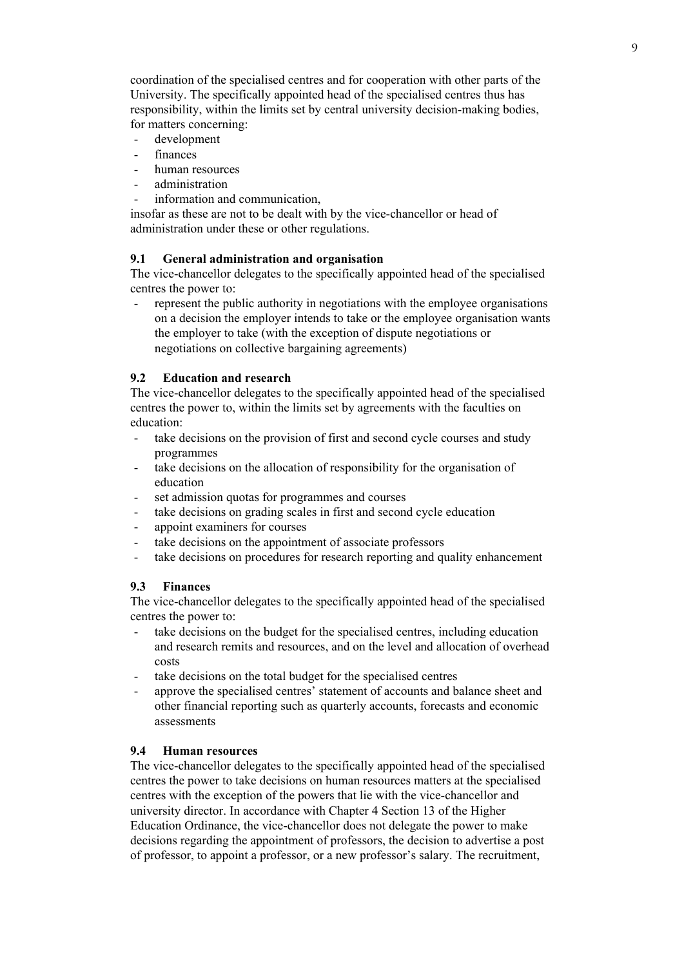coordination of the specialised centres and for cooperation with other parts of the University. The specifically appointed head of the specialised centres thus has responsibility, within the limits set by central university decision-making bodies, for matters concerning:

- development
- finances
- human resources
- administration
- information and communication.

insofar as these are not to be dealt with by the vice-chancellor or head of administration under these or other regulations.

## **9.1 General administration and organisation**

The vice-chancellor delegates to the specifically appointed head of the specialised centres the power to:

represent the public authority in negotiations with the employee organisations on a decision the employer intends to take or the employee organisation wants the employer to take (with the exception of dispute negotiations or negotiations on collective bargaining agreements)

#### **9.2 Education and research**

The vice-chancellor delegates to the specifically appointed head of the specialised centres the power to, within the limits set by agreements with the faculties on education:

- take decisions on the provision of first and second cycle courses and study programmes
- take decisions on the allocation of responsibility for the organisation of education
- set admission quotas for programmes and courses
- take decisions on grading scales in first and second cycle education
- appoint examiners for courses
- take decisions on the appointment of associate professors
- take decisions on procedures for research reporting and quality enhancement

#### **9.3 Finances**

The vice-chancellor delegates to the specifically appointed head of the specialised centres the power to:

- take decisions on the budget for the specialised centres, including education and research remits and resources, and on the level and allocation of overhead costs
- take decisions on the total budget for the specialised centres
- approve the specialised centres' statement of accounts and balance sheet and other financial reporting such as quarterly accounts, forecasts and economic assessments

### **9.4 Human resources**

The vice-chancellor delegates to the specifically appointed head of the specialised centres the power to take decisions on human resources matters at the specialised centres with the exception of the powers that lie with the vice-chancellor and university director. In accordance with Chapter 4 Section 13 of the Higher Education Ordinance, the vice-chancellor does not delegate the power to make decisions regarding the appointment of professors, the decision to advertise a post of professor, to appoint a professor, or a new professor's salary. The recruitment,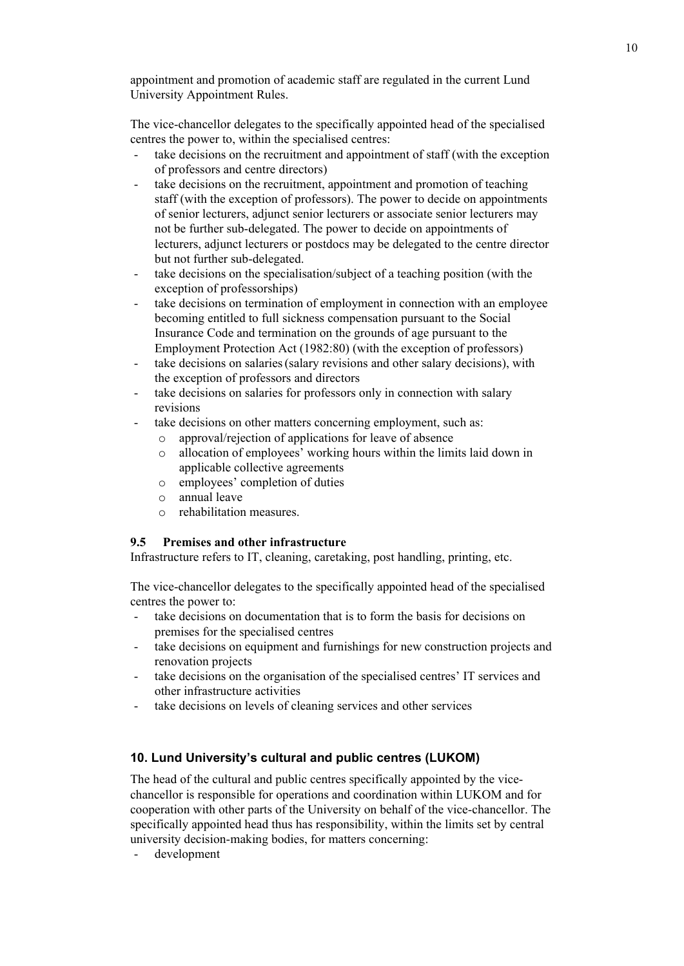appointment and promotion of academic staff are regulated in the current Lund University Appointment Rules.

The vice-chancellor delegates to the specifically appointed head of the specialised centres the power to, within the specialised centres:

- take decisions on the recruitment and appointment of staff (with the exception of professors and centre directors)
- take decisions on the recruitment, appointment and promotion of teaching staff (with the exception of professors). The power to decide on appointments of senior lecturers, adjunct senior lecturers or associate senior lecturers may not be further sub-delegated. The power to decide on appointments of lecturers, adjunct lecturers or postdocs may be delegated to the centre director but not further sub-delegated.
- take decisions on the specialisation/subject of a teaching position (with the exception of professorships)
- take decisions on termination of employment in connection with an employee becoming entitled to full sickness compensation pursuant to the Social Insurance Code and termination on the grounds of age pursuant to the Employment Protection Act (1982:80) (with the exception of professors)
- take decisions on salaries (salary revisions and other salary decisions), with the exception of professors and directors
- take decisions on salaries for professors only in connection with salary revisions
- take decisions on other matters concerning employment, such as:
	- o approval/rejection of applications for leave of absence
	- o allocation of employees' working hours within the limits laid down in applicable collective agreements
	- o employees' completion of duties
	- o annual leave
	- o rehabilitation measures.

## **9.5 Premises and other infrastructure**

Infrastructure refers to IT, cleaning, caretaking, post handling, printing, etc.

The vice-chancellor delegates to the specifically appointed head of the specialised centres the power to:

- take decisions on documentation that is to form the basis for decisions on premises for the specialised centres
- take decisions on equipment and furnishings for new construction projects and renovation projects
- take decisions on the organisation of the specialised centres' IT services and other infrastructure activities
- take decisions on levels of cleaning services and other services

## **10. Lund University's cultural and public centres (LUKOM)**

The head of the cultural and public centres specifically appointed by the vicechancellor is responsible for operations and coordination within LUKOM and for cooperation with other parts of the University on behalf of the vice-chancellor. The specifically appointed head thus has responsibility, within the limits set by central university decision-making bodies, for matters concerning:

development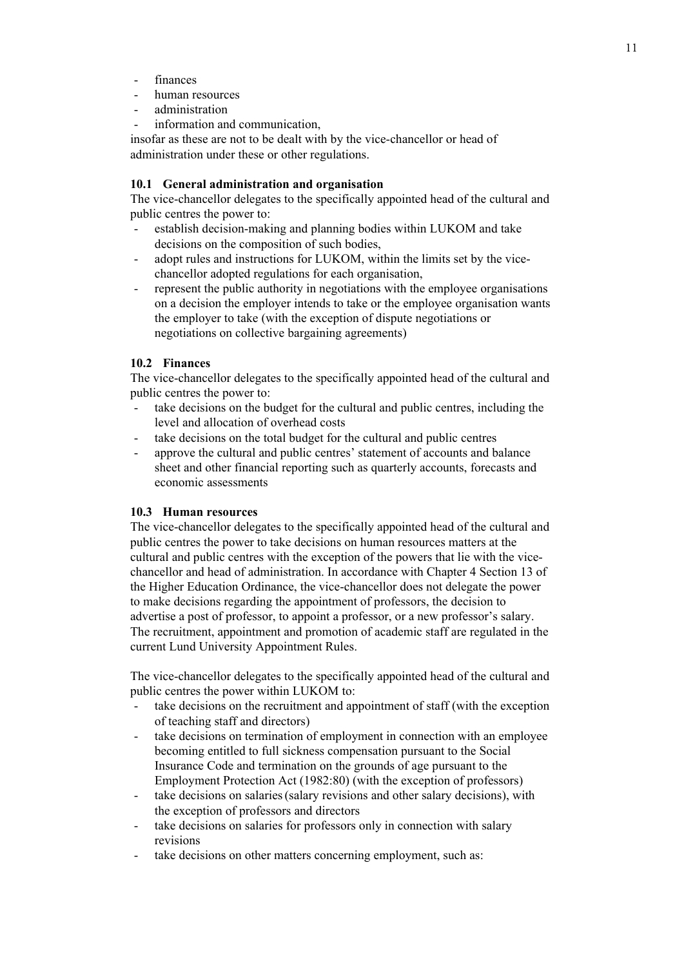- finances
- human resources
- administration
- information and communication.

insofar as these are not to be dealt with by the vice-chancellor or head of administration under these or other regulations.

## **10.1 General administration and organisation**

The vice-chancellor delegates to the specifically appointed head of the cultural and public centres the power to:

- establish decision-making and planning bodies within LUKOM and take decisions on the composition of such bodies,
- adopt rules and instructions for LUKOM, within the limits set by the vicechancellor adopted regulations for each organisation,
- represent the public authority in negotiations with the employee organisations on a decision the employer intends to take or the employee organisation wants the employer to take (with the exception of dispute negotiations or negotiations on collective bargaining agreements)

#### **10.2 Finances**

The vice-chancellor delegates to the specifically appointed head of the cultural and public centres the power to:

- take decisions on the budget for the cultural and public centres, including the level and allocation of overhead costs
- take decisions on the total budget for the cultural and public centres
- approve the cultural and public centres' statement of accounts and balance sheet and other financial reporting such as quarterly accounts, forecasts and economic assessments

#### **10.3 Human resources**

The vice-chancellor delegates to the specifically appointed head of the cultural and public centres the power to take decisions on human resources matters at the cultural and public centres with the exception of the powers that lie with the vicechancellor and head of administration. In accordance with Chapter 4 Section 13 of the Higher Education Ordinance, the vice-chancellor does not delegate the power to make decisions regarding the appointment of professors, the decision to advertise a post of professor, to appoint a professor, or a new professor's salary. The recruitment, appointment and promotion of academic staff are regulated in the current Lund University Appointment Rules.

The vice-chancellor delegates to the specifically appointed head of the cultural and public centres the power within LUKOM to:

- take decisions on the recruitment and appointment of staff (with the exception of teaching staff and directors)
- take decisions on termination of employment in connection with an employee becoming entitled to full sickness compensation pursuant to the Social Insurance Code and termination on the grounds of age pursuant to the Employment Protection Act (1982:80) (with the exception of professors)
- take decisions on salaries (salary revisions and other salary decisions), with the exception of professors and directors
- take decisions on salaries for professors only in connection with salary revisions
- take decisions on other matters concerning employment, such as: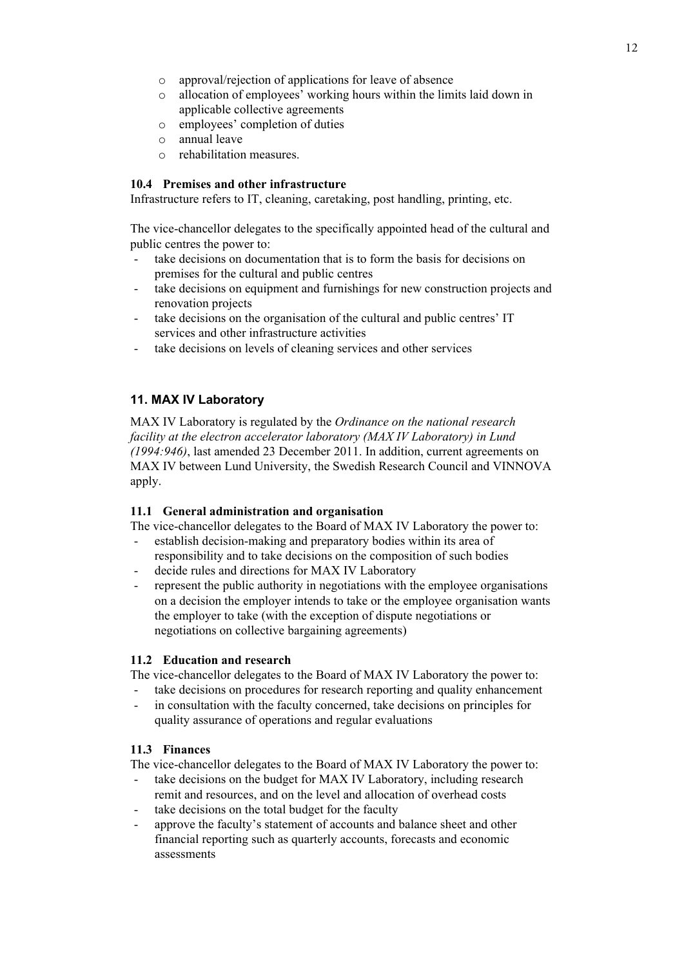- o approval/rejection of applications for leave of absence
- o allocation of employees' working hours within the limits laid down in applicable collective agreements
- o employees' completion of duties
- o annual leave
- o rehabilitation measures.

## **10.4 Premises and other infrastructure**

Infrastructure refers to IT, cleaning, caretaking, post handling, printing, etc.

The vice-chancellor delegates to the specifically appointed head of the cultural and public centres the power to:

- take decisions on documentation that is to form the basis for decisions on premises for the cultural and public centres
- take decisions on equipment and furnishings for new construction projects and renovation projects
- take decisions on the organisation of the cultural and public centres' IT services and other infrastructure activities
- take decisions on levels of cleaning services and other services

## **11. MAX IV Laboratory**

MAX IV Laboratory is regulated by the *Ordinance on the national research facility at the electron accelerator laboratory (MAX IV Laboratory) in Lund (1994:946)*, last amended 23 December 2011. In addition, current agreements on MAX IV between Lund University, the Swedish Research Council and VINNOVA apply.

## **11.1 General administration and organisation**

The vice-chancellor delegates to the Board of MAX IV Laboratory the power to:

- establish decision-making and preparatory bodies within its area of responsibility and to take decisions on the composition of such bodies
- decide rules and directions for MAX IV Laboratory
- represent the public authority in negotiations with the employee organisations on a decision the employer intends to take or the employee organisation wants the employer to take (with the exception of dispute negotiations or negotiations on collective bargaining agreements)

## **11.2 Education and research**

The vice-chancellor delegates to the Board of MAX IV Laboratory the power to:

- take decisions on procedures for research reporting and quality enhancement
- in consultation with the faculty concerned, take decisions on principles for quality assurance of operations and regular evaluations

## **11.3 Finances**

The vice-chancellor delegates to the Board of MAX IV Laboratory the power to:

take decisions on the budget for MAX IV Laboratory, including research

- remit and resources, and on the level and allocation of overhead costs take decisions on the total budget for the faculty
- approve the faculty's statement of accounts and balance sheet and other financial reporting such as quarterly accounts, forecasts and economic assessments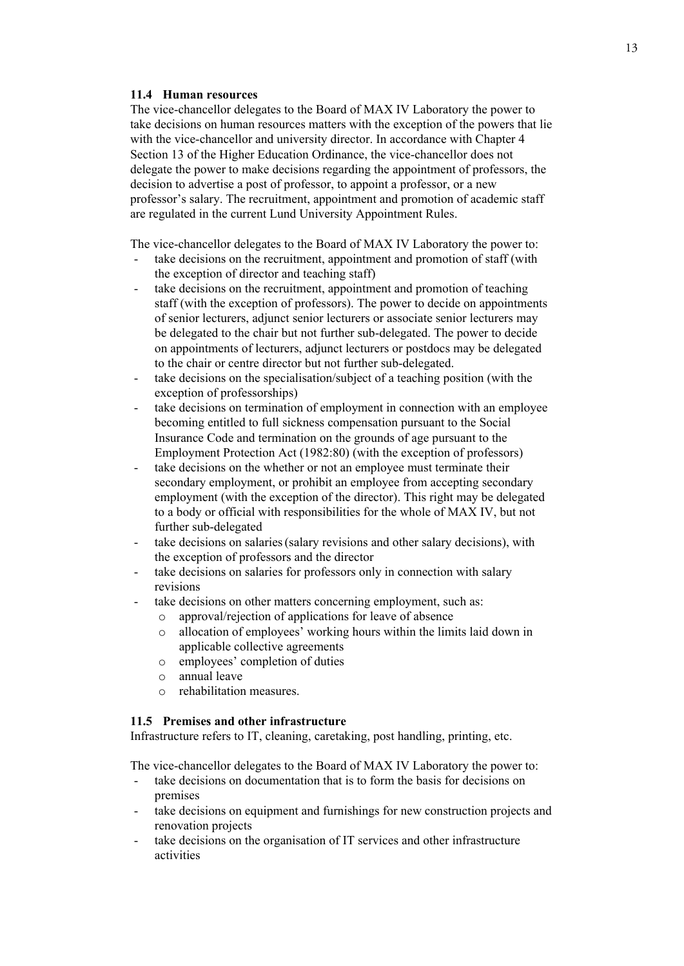### **11.4 Human resources**

The vice-chancellor delegates to the Board of MAX IV Laboratory the power to take decisions on human resources matters with the exception of the powers that lie with the vice-chancellor and university director. In accordance with Chapter 4 Section 13 of the Higher Education Ordinance, the vice-chancellor does not delegate the power to make decisions regarding the appointment of professors, the decision to advertise a post of professor, to appoint a professor, or a new professor's salary. The recruitment, appointment and promotion of academic staff are regulated in the current Lund University Appointment Rules.

The vice-chancellor delegates to the Board of MAX IV Laboratory the power to:

- take decisions on the recruitment, appointment and promotion of staff (with the exception of director and teaching staff)
- take decisions on the recruitment, appointment and promotion of teaching staff (with the exception of professors). The power to decide on appointments of senior lecturers, adjunct senior lecturers or associate senior lecturers may be delegated to the chair but not further sub-delegated. The power to decide on appointments of lecturers, adjunct lecturers or postdocs may be delegated to the chair or centre director but not further sub-delegated.
- take decisions on the specialisation/subject of a teaching position (with the exception of professorships)
- take decisions on termination of employment in connection with an employee becoming entitled to full sickness compensation pursuant to the Social Insurance Code and termination on the grounds of age pursuant to the Employment Protection Act (1982:80) (with the exception of professors)
- take decisions on the whether or not an employee must terminate their secondary employment, or prohibit an employee from accepting secondary employment (with the exception of the director). This right may be delegated to a body or official with responsibilities for the whole of MAX IV, but not further sub-delegated
- take decisions on salaries(salary revisions and other salary decisions), with the exception of professors and the director
- take decisions on salaries for professors only in connection with salary revisions
- take decisions on other matters concerning employment, such as:
	- o approval/rejection of applications for leave of absence
	- o allocation of employees' working hours within the limits laid down in applicable collective agreements
	- o employees' completion of duties
	- o annual leave
	- o rehabilitation measures.

#### **11.5 Premises and other infrastructure**

Infrastructure refers to IT, cleaning, caretaking, post handling, printing, etc.

The vice-chancellor delegates to the Board of MAX IV Laboratory the power to:

- take decisions on documentation that is to form the basis for decisions on premises
- take decisions on equipment and furnishings for new construction projects and renovation projects
- take decisions on the organisation of IT services and other infrastructure activities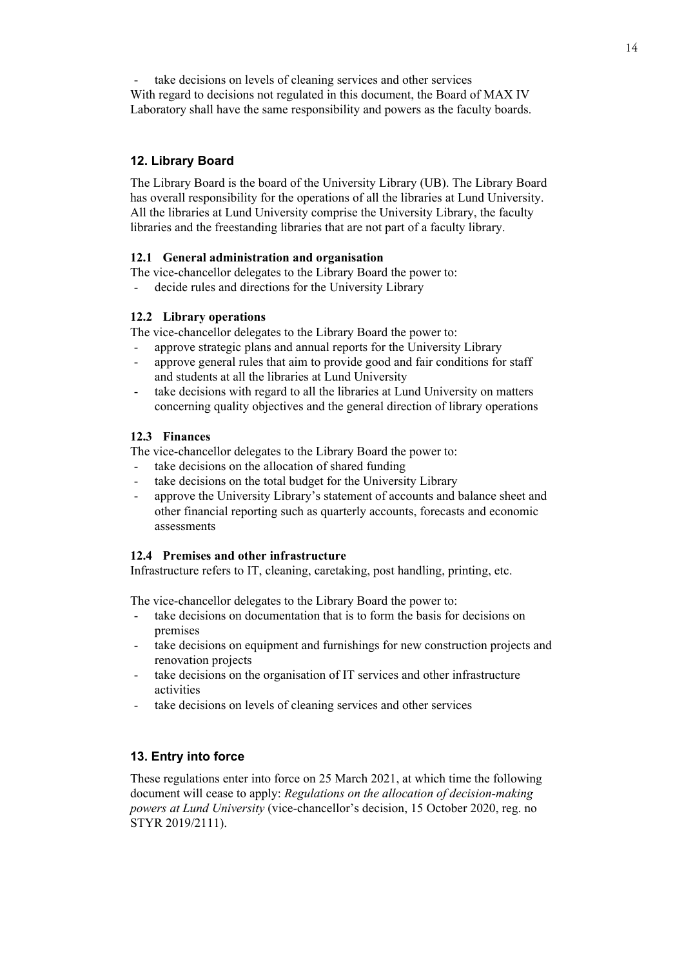take decisions on levels of cleaning services and other services

With regard to decisions not regulated in this document, the Board of MAX IV Laboratory shall have the same responsibility and powers as the faculty boards.

## **12. Library Board**

The Library Board is the board of the University Library (UB). The Library Board has overall responsibility for the operations of all the libraries at Lund University. All the libraries at Lund University comprise the University Library, the faculty libraries and the freestanding libraries that are not part of a faculty library.

## **12.1 General administration and organisation**

The vice-chancellor delegates to the Library Board the power to:

decide rules and directions for the University Library

## **12.2 Library operations**

The vice-chancellor delegates to the Library Board the power to:

- approve strategic plans and annual reports for the University Library
- approve general rules that aim to provide good and fair conditions for staff and students at all the libraries at Lund University
- take decisions with regard to all the libraries at Lund University on matters concerning quality objectives and the general direction of library operations

## **12.3 Finances**

The vice-chancellor delegates to the Library Board the power to:

- take decisions on the allocation of shared funding
- take decisions on the total budget for the University Library
- approve the University Library's statement of accounts and balance sheet and other financial reporting such as quarterly accounts, forecasts and economic assessments

## **12.4 Premises and other infrastructure**

Infrastructure refers to IT, cleaning, caretaking, post handling, printing, etc.

The vice-chancellor delegates to the Library Board the power to:

- take decisions on documentation that is to form the basis for decisions on premises
- take decisions on equipment and furnishings for new construction projects and renovation projects
- take decisions on the organisation of IT services and other infrastructure activities
- take decisions on levels of cleaning services and other services

## **13. Entry into force**

These regulations enter into force on 25 March 2021, at which time the following document will cease to apply: *Regulations on the allocation of decision-making powers at Lund University* (vice-chancellor's decision, 15 October 2020, reg. no STYR 2019/2111).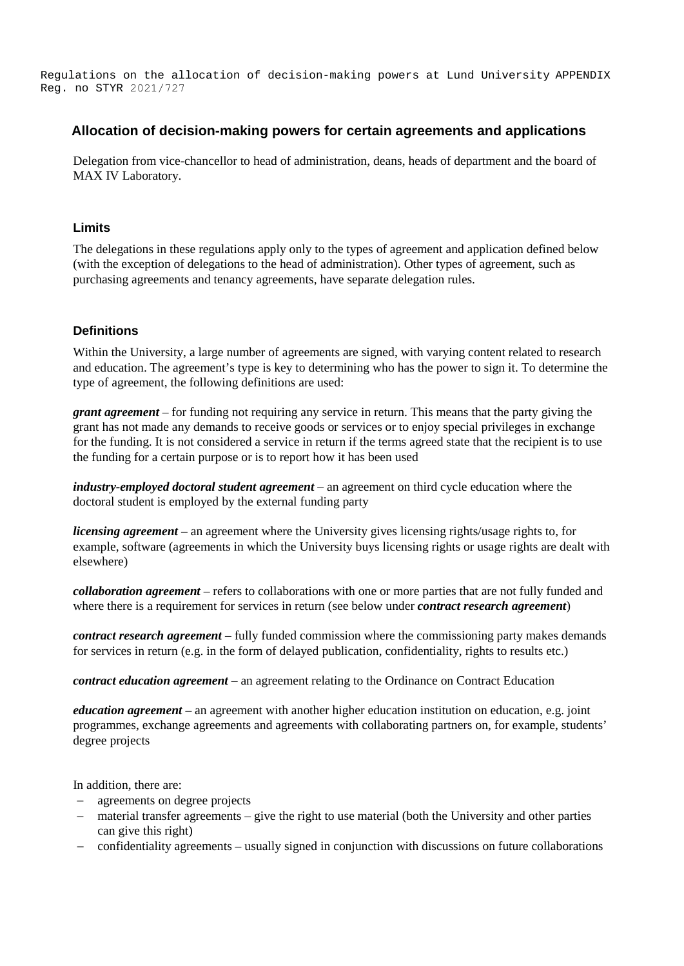Regulations on the allocation of decision-making powers at Lund University APPENDIX Reg. no STYR 2021/727

## **Allocation of decision-making powers for certain agreements and applications**

Delegation from vice-chancellor to head of administration, deans, heads of department and the board of MAX IV Laboratory.

### **Limits**

The delegations in these regulations apply only to the types of agreement and application defined below (with the exception of delegations to the head of administration). Other types of agreement, such as purchasing agreements and tenancy agreements, have separate delegation rules.

#### **Definitions**

Within the University, a large number of agreements are signed, with varying content related to research and education. The agreement's type is key to determining who has the power to sign it. To determine the type of agreement, the following definitions are used:

*grant agreement* – for funding not requiring any service in return. This means that the party giving the grant has not made any demands to receive goods or services or to enjoy special privileges in exchange for the funding. It is not considered a service in return if the terms agreed state that the recipient is to use the funding for a certain purpose or is to report how it has been used

*industry-employed doctoral student agreement* – an agreement on third cycle education where the doctoral student is employed by the external funding party

*licensing agreement* – an agreement where the University gives licensing rights/usage rights to, for example, software (agreements in which the University buys licensing rights or usage rights are dealt with elsewhere)

*collaboration agreement* – refers to collaborations with one or more parties that are not fully funded and where there is a requirement for services in return (see below under *contract research agreement*)

*contract research agreement* – fully funded commission where the commissioning party makes demands for services in return (e.g. in the form of delayed publication, confidentiality, rights to results etc.)

*contract education agreement* – an agreement relating to the Ordinance on Contract Education

*education agreement* – an agreement with another higher education institution on education, e.g. joint programmes, exchange agreements and agreements with collaborating partners on, for example, students' degree projects

In addition, there are:

- agreements on degree projects
- material transfer agreements give the right to use material (both the University and other parties can give this right)
- confidentiality agreements usually signed in conjunction with discussions on future collaborations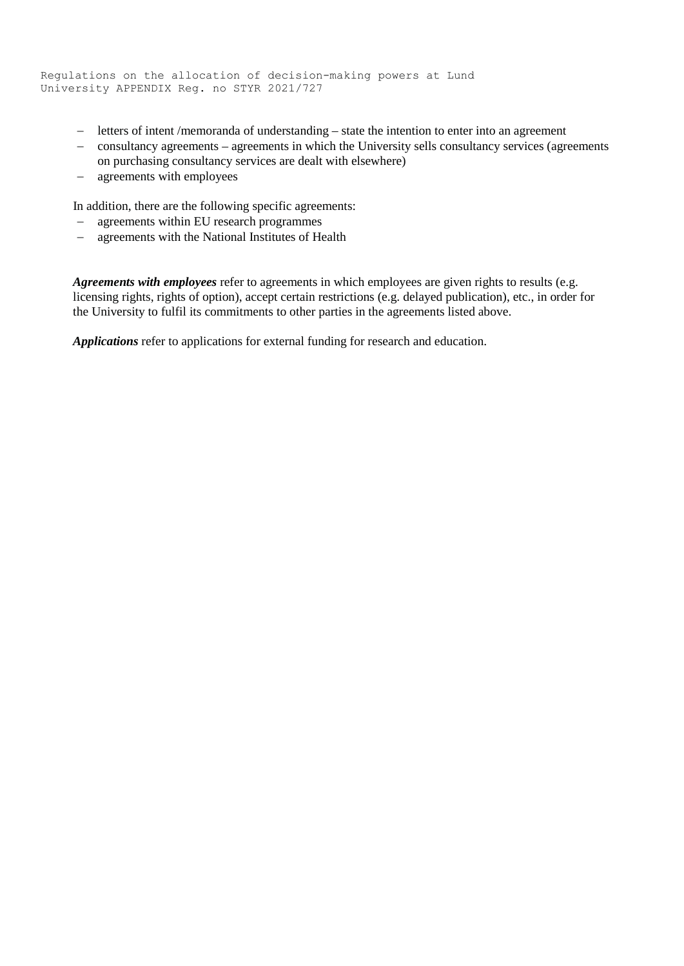```
Regulations on the allocation of decision-making powers at Lund 
University APPENDIX Reg. no STYR 2021/727
```
- letters of intent /memoranda of understanding state the intention to enter into an agreement
- consultancy agreements agreements in which the University sells consultancy services (agreements on purchasing consultancy services are dealt with elsewhere)
- agreements with employees

In addition, there are the following specific agreements:

- agreements within EU research programmes
- agreements with the National Institutes of Health

*Agreements with employees* refer to agreements in which employees are given rights to results (e.g. licensing rights, rights of option), accept certain restrictions (e.g. delayed publication), etc., in order for the University to fulfil its commitments to other parties in the agreements listed above.

*Applications* refer to applications for external funding for research and education.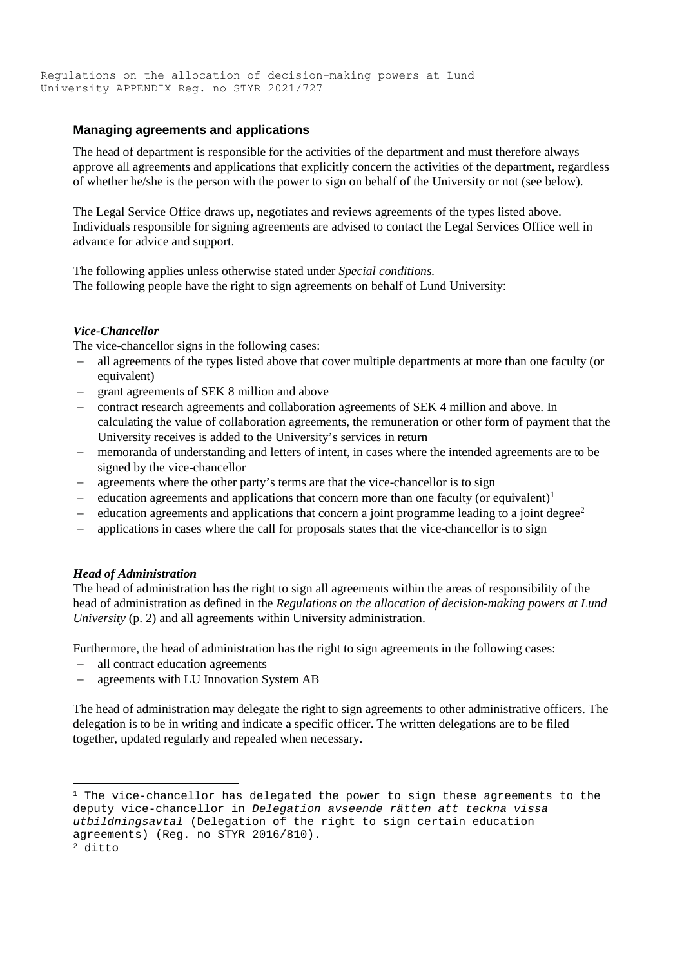## **Managing agreements and applications**

The head of department is responsible for the activities of the department and must therefore always approve all agreements and applications that explicitly concern the activities of the department, regardless of whether he/she is the person with the power to sign on behalf of the University or not (see below).

The Legal Service Office draws up, negotiates and reviews agreements of the types listed above. Individuals responsible for signing agreements are advised to contact the Legal Services Office well in advance for advice and support.

The following applies unless otherwise stated under *Special conditions.* The following people have the right to sign agreements on behalf of Lund University:

#### *Vice-Chancellor*

The vice-chancellor signs in the following cases:

- all agreements of the types listed above that cover multiple departments at more than one faculty (or equivalent)
- grant agreements of SEK 8 million and above
- contract research agreements and collaboration agreements of SEK 4 million and above. In calculating the value of collaboration agreements, the remuneration or other form of payment that the University receives is added to the University's services in return
- memoranda of understanding and letters of intent, in cases where the intended agreements are to be signed by the vice-chancellor
- agreements where the other party's terms are that the vice-chancellor is to sign
- education agreements and applications that concern more than one faculty (or equivalent)<sup>1</sup>
- education agreements and applications that concern a joint programme leading to a joint degree<sup>2</sup>
- applications in cases where the call for proposals states that the vice-chancellor is to sign

## *Head of Administration*

The head of administration has the right to sign all agreements within the areas of responsibility of the head of administration as defined in the *Regulations on the allocation of decision-making powers at Lund University* (p. 2) and all agreements within University administration.

Furthermore, the head of administration has the right to sign agreements in the following cases:

- all contract education agreements
- agreements with LU Innovation System AB

The head of administration may delegate the right to sign agreements to other administrative officers. The delegation is to be in writing and indicate a specific officer. The written delegations are to be filed together, updated regularly and repealed when necessary.

 $1$  The vice-chancellor has delegated the power to sign these agreements to the deputy vice-chancellor in *Delegation avseende rätten att teckna vissa utbildningsavtal* (Delegation of the right to sign certain education agreements) (Reg. no STYR 2016/810).

<sup>2</sup> ditto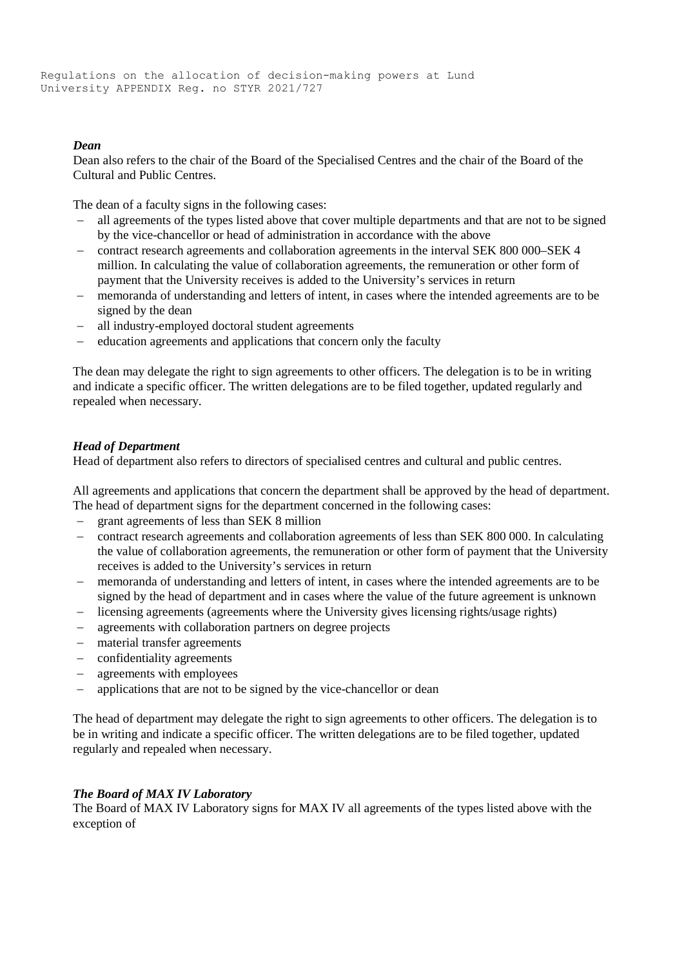## *Dean*

Dean also refers to the chair of the Board of the Specialised Centres and the chair of the Board of the Cultural and Public Centres.

The dean of a faculty signs in the following cases:

- all agreements of the types listed above that cover multiple departments and that are not to be signed by the vice-chancellor or head of administration in accordance with the above
- contract research agreements and collaboration agreements in the interval SEK 800 000–SEK 4 million. In calculating the value of collaboration agreements, the remuneration or other form of payment that the University receives is added to the University's services in return
- memoranda of understanding and letters of intent, in cases where the intended agreements are to be signed by the dean
- all industry-employed doctoral student agreements
- education agreements and applications that concern only the faculty

The dean may delegate the right to sign agreements to other officers. The delegation is to be in writing and indicate a specific officer. The written delegations are to be filed together, updated regularly and repealed when necessary.

#### *Head of Department*

Head of department also refers to directors of specialised centres and cultural and public centres.

All agreements and applications that concern the department shall be approved by the head of department. The head of department signs for the department concerned in the following cases:

- grant agreements of less than SEK 8 million
- contract research agreements and collaboration agreements of less than SEK 800 000. In calculating the value of collaboration agreements, the remuneration or other form of payment that the University receives is added to the University's services in return
- memoranda of understanding and letters of intent, in cases where the intended agreements are to be signed by the head of department and in cases where the value of the future agreement is unknown
- licensing agreements (agreements where the University gives licensing rights/usage rights)
- agreements with collaboration partners on degree projects
- material transfer agreements
- confidentiality agreements
- agreements with employees
- applications that are not to be signed by the vice-chancellor or dean

The head of department may delegate the right to sign agreements to other officers. The delegation is to be in writing and indicate a specific officer. The written delegations are to be filed together, updated regularly and repealed when necessary.

## *The Board of MAX IV Laboratory*

The Board of MAX IV Laboratory signs for MAX IV all agreements of the types listed above with the exception of